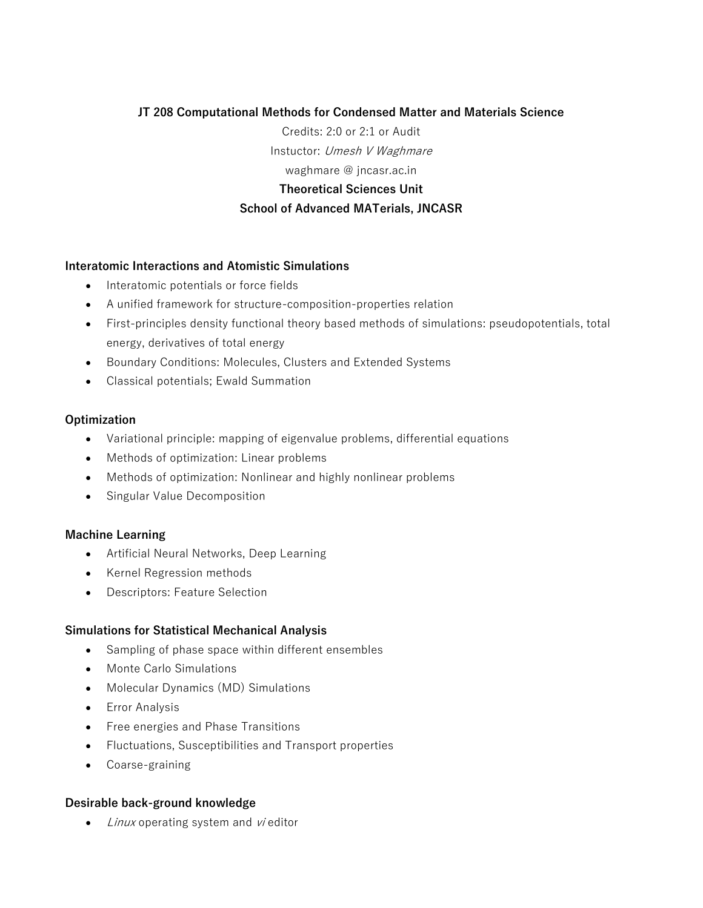# **JT 208 Computational Methods for Condensed Matter and Materials Science**

Credits: 2:0 or 2:1 or Audit Instuctor: Umesh V Waghmare waghmare @ jncasr.ac.in **Theoretical Sciences Unit School of Advanced MATerials, JNCASR**

# **Interatomic Interactions and Atomistic Simulations**

- Interatomic potentials or force fields
- A unified framework for structure-composition-properties relation
- First-principles density functional theory based methods of simulations: pseudopotentials, total energy, derivatives of total energy
- Boundary Conditions: Molecules, Clusters and Extended Systems
- Classical potentials; Ewald Summation

### **Optimization**

- Variational principle: mapping of eigenvalue problems, differential equations
- Methods of optimization: Linear problems
- Methods of optimization: Nonlinear and highly nonlinear problems
- Singular Value Decomposition

# **Machine Learning**

- Artificial Neural Networks, Deep Learning
- Kernel Regression methods
- Descriptors: Feature Selection

### **Simulations for Statistical Mechanical Analysis**

- Sampling of phase space within different ensembles
- Monte Carlo Simulations
- Molecular Dynamics (MD) Simulations
- Error Analysis
- Free energies and Phase Transitions
- Fluctuations, Susceptibilities and Transport properties
- Coarse-graining

### **Desirable back-ground knowledge**

• *Linux* operating system and *vi* editor